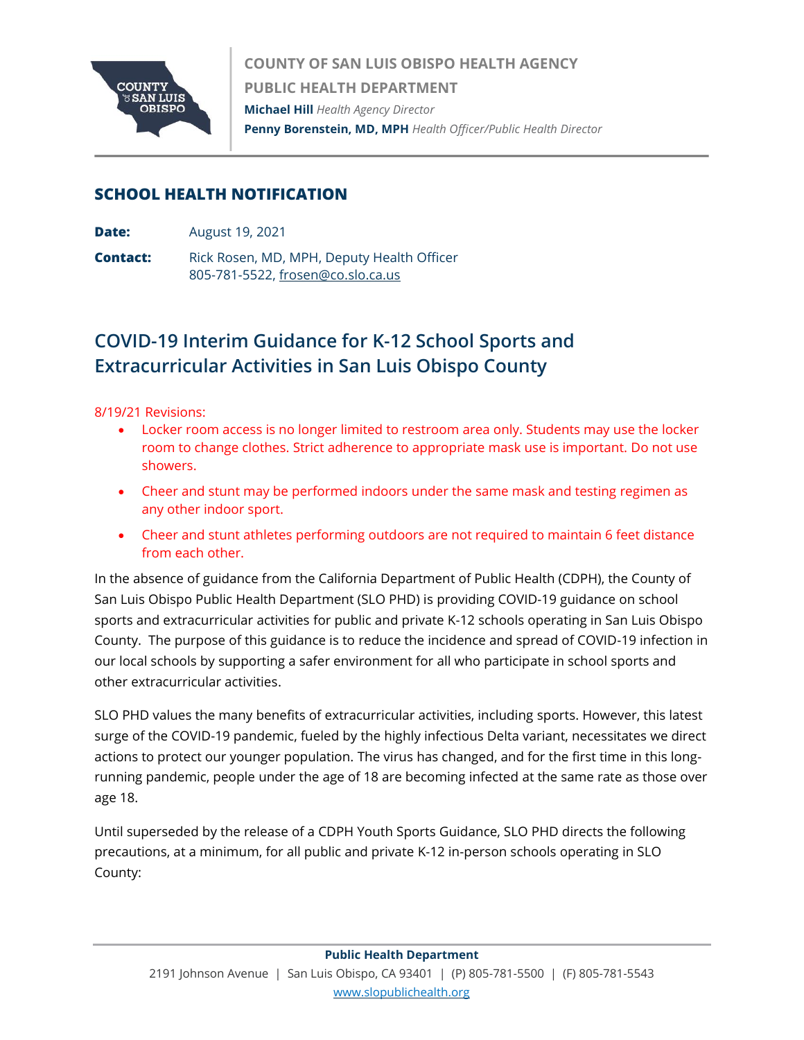

**COUNTY OF SAN LUIS OBISPO HEALTH AGENCY PUBLIC HEALTH DEPARTMENT Michael Hill** *Health Agency Director* **Penny Borenstein, MD, MPH** *Health Officer/Public Health Director*

## **SCHOOL HEALTH NOTIFICATION**

- **Date:** August 19, 2021
- **Contact:** Rick Rosen, MD, MPH, Deputy Health Officer 805-781-5522[, frosen@co.slo.ca.us](mailto:frosen@co.slo.ca.us)

## **COVID-19 Interim Guidance for K-12 School Sports and Extracurricular Activities in San Luis Obispo County**

8/19/21 Revisions:

- Locker room access is no longer limited to restroom area only. Students may use the locker room to change clothes. Strict adherence to appropriate mask use is important. Do not use showers.
- Cheer and stunt may be performed indoors under the same mask and testing regimen as any other indoor sport.
- Cheer and stunt athletes performing outdoors are not required to maintain 6 feet distance from each other.

In the absence of guidance from the California Department of Public Health (CDPH), the County of San Luis Obispo Public Health Department (SLO PHD) is providing COVID-19 guidance on school sports and extracurricular activities for public and private K-12 schools operating in San Luis Obispo County. The purpose of this guidance is to reduce the incidence and spread of COVID-19 infection in our local schools by supporting a safer environment for all who participate in school sports and other extracurricular activities.

SLO PHD values the many benefits of extracurricular activities, including sports. However, this latest surge of the COVID-19 pandemic, fueled by the highly infectious Delta variant, necessitates we direct actions to protect our younger population. The virus has changed, and for the first time in this longrunning pandemic, people under the age of 18 are becoming infected at the same rate as those over age 18.

Until superseded by the release of a CDPH Youth Sports Guidance, SLO PHD directs the following precautions, at a minimum, for all public and private K-12 in-person schools operating in SLO County: